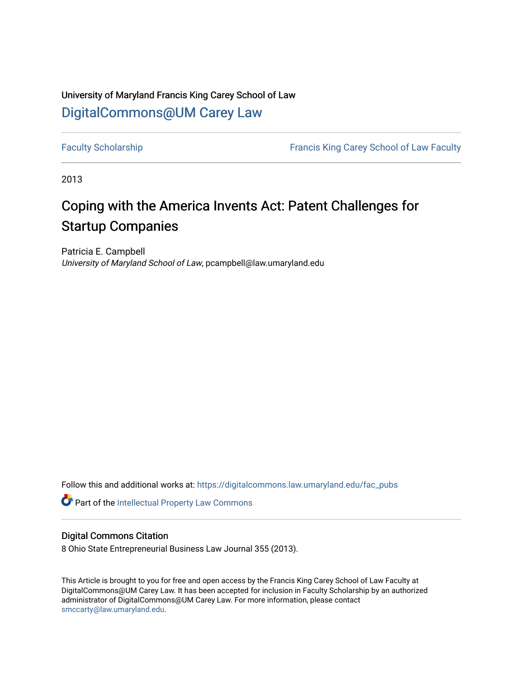# University of Maryland Francis King Carey School of Law [DigitalCommons@UM Carey Law](https://digitalcommons.law.umaryland.edu/)

[Faculty Scholarship](https://digitalcommons.law.umaryland.edu/fac_pubs) **Francis King Carey School of Law Faculty** 

2013

# Coping with the America Invents Act: Patent Challenges for Startup Companies

Patricia E. Campbell University of Maryland School of Law, pcampbell@law.umaryland.edu

Follow this and additional works at: [https://digitalcommons.law.umaryland.edu/fac\\_pubs](https://digitalcommons.law.umaryland.edu/fac_pubs?utm_source=digitalcommons.law.umaryland.edu%2Ffac_pubs%2F1523&utm_medium=PDF&utm_campaign=PDFCoverPages) 

**Part of the Intellectual Property Law Commons** 

# Digital Commons Citation

8 Ohio State Entrepreneurial Business Law Journal 355 (2013).

This Article is brought to you for free and open access by the Francis King Carey School of Law Faculty at DigitalCommons@UM Carey Law. It has been accepted for inclusion in Faculty Scholarship by an authorized administrator of DigitalCommons@UM Carey Law. For more information, please contact [smccarty@law.umaryland.edu](mailto:smccarty@law.umaryland.edu).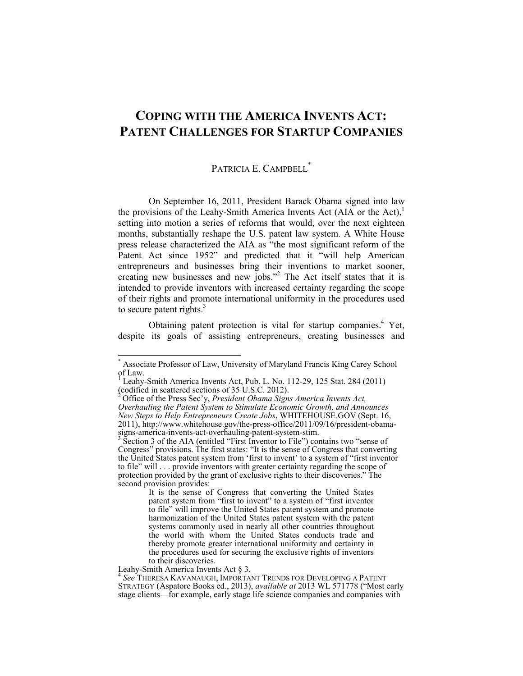# **COPING WITH THE AMERICA INVENTS ACT: PATENT CHALLENGES FOR STARTUP COMPANIES**

# PATRICIA E. CAMPBELL<sup>\*</sup>

On September 16, 2011, President Barack Obama signed into law the provisions of the Leahy-Smith America Invents Act (AIA or the Act), $<sup>1</sup>$ </sup> setting into motion a series of reforms that would, over the next eighteen months, substantially reshape the U.S. patent law system. A White House press release characterized the AIA as "the most significant reform of the Patent Act since 1952" and predicted that it "will help American entrepreneurs and businesses bring their inventions to market sooner, creating new businesses and new jobs."<sup>2</sup> The Act itself states that it is intended to provide inventors with increased certainty regarding the scope of their rights and promote international uniformity in the procedures used to secure patent rights. $3$ 

Obtaining patent protection is vital for startup companies.<sup>4</sup> Yet, despite its goals of assisting entrepreneurs, creating businesses and

<sup>\*</sup> Associate Professor of Law, University of Maryland Francis King Carey School of Law.<br><sup>1</sup> Leeby

Leahy-Smith America Invents Act, Pub. L. No. 112-29, 125 Stat. 284 (2011) (codified in scattered sections of 35 U.S.C. 2012).

<sup>2</sup> Office of the Press Sec\_y, *President Obama Signs America Invents Act, Overhauling the Patent System to Stimulate Economic Growth, and Announces New Steps to Help Entrepreneurs Create Jobs*, WHITEHOUSE.GOV (Sept. 16, 2011), http://www.whitehouse.gov/the-press-office/2011/09/16/president-obama-

signs-america-invents-act-overhauling-patent-system-stim.<br><sup>3</sup> Section 3 of the AIA (entitled "First Inventor to File") contains two "sense of Congress" provisions. The first states: "It is the sense of Congress that converting the United States patent system from 'first to invent' to a system of "first inventor to file" will  $\ldots$  provide inventors with greater certainty regarding the scope of protection provided by the grant of exclusive rights to their discoveries." The second provision provides:

It is the sense of Congress that converting the United States patent system from "first to invent" to a system of "first inventor to file" will improve the United States patent system and promote harmonization of the United States patent system with the patent systems commonly used in nearly all other countries throughout the world with whom the United States conducts trade and thereby promote greater international uniformity and certainty in the procedures used for securing the exclusive rights of inventors to their discoveries.

Leahy-Smith America Invents Act § 3.

<sup>4</sup> *See* THERESA KAVANAUGH, IMPORTANT TRENDS FOR DEVELOPING A PATENT STRATEGY (Aspatore Books ed., 2013), *available at* 2013 WL 571778 ("Most early stage clients—for example, early stage life science companies and companies with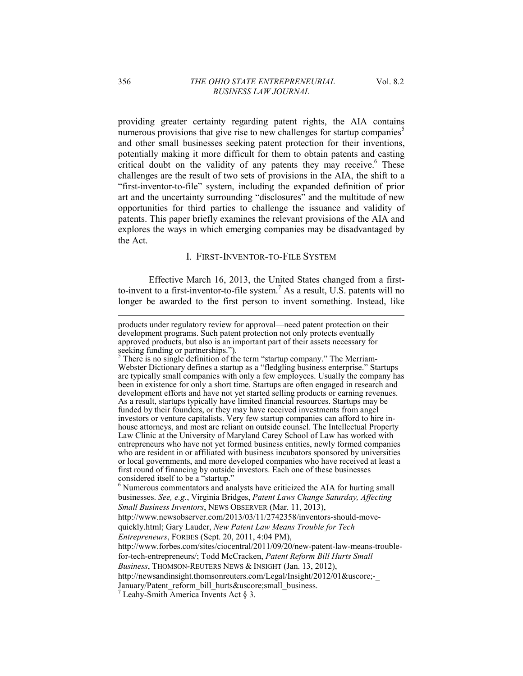providing greater certainty regarding patent rights, the AIA contains numerous provisions that give rise to new challenges for startup companies<sup>5</sup> and other small businesses seeking patent protection for their inventions, potentially making it more difficult for them to obtain patents and casting critical doubt on the validity of any patents they may receive.<sup>6</sup> These challenges are the result of two sets of provisions in the AIA, the shift to a "first-inventor-to-file" system, including the expanded definition of prior art and the uncertainty surrounding "disclosures" and the multitude of new opportunities for third parties to challenge the issuance and validity of patents. This paper briefly examines the relevant provisions of the AIA and explores the ways in which emerging companies may be disadvantaged by the Act.

#### I. FIRST-INVENTOR-TO-FILE SYSTEM

Effective March 16, 2013, the United States changed from a firstto-invent to a first-inventor-to-file system.<sup>7</sup> As a result, U.S. patents will no longer be awarded to the first person to invent something. Instead, like

products under regulatory review for approval—need patent protection on their development programs. Such patent protection not only protects eventually approved products, but also is an important part of their assets necessary for seeking funding or partnerships.").  $\frac{5}{10}$  There is no single definition of the term "startup company." The Merriam-

Webster Dictionary defines a startup as a "fledgling business enterprise." Startups are typically small companies with only a few employees. Usually the company has been in existence for only a short time. Startups are often engaged in research and development efforts and have not yet started selling products or earning revenues. As a result, startups typically have limited financial resources. Startups may be funded by their founders, or they may have received investments from angel investors or venture capitalists. Very few startup companies can afford to hire inhouse attorneys, and most are reliant on outside counsel. The Intellectual Property Law Clinic at the University of Maryland Carey School of Law has worked with entrepreneurs who have not yet formed business entities, newly formed companies who are resident in or affiliated with business incubators sponsored by universities or local governments, and more developed companies who have received at least a first round of financing by outside investors. Each one of these businesses considered itself to be a "startup."

<sup>&</sup>lt;sup>6</sup> Numerous commentators and analysts have criticized the AIA for hurting small businesses. *See, e.g.*, Virginia Bridges, *Patent Laws Change Saturday, Affecting Small Business Inventors*, NEWS OBSERVER (Mar. 11, 2013),

http://www.newsobserver.com/2013/03/11/2742358/inventors-should-move-

quickly.html; Gary Lauder, *New Patent Law Means Trouble for Tech* 

*Entrepreneurs*, FORBES (Sept. 20, 2011, 4:04 PM),

http://www.forbes.com/sites/ciocentral/2011/09/20/new-patent-law-means-troublefor-tech-entrepreneurs/; Todd McCracken, *Patent Reform Bill Hurts Small* 

*Business*, THOMSON-REUTERS NEWS & INSIGHT (Jan. 13, 2012),

http://newsandinsight.thomsonreuters.com/Legal/Insight/2012/01&uscore;-

January/Patent\_reform\_bill\_hurts&uscore;small\_business.

 $7$  Leahy-Smith America Invents Act § 3.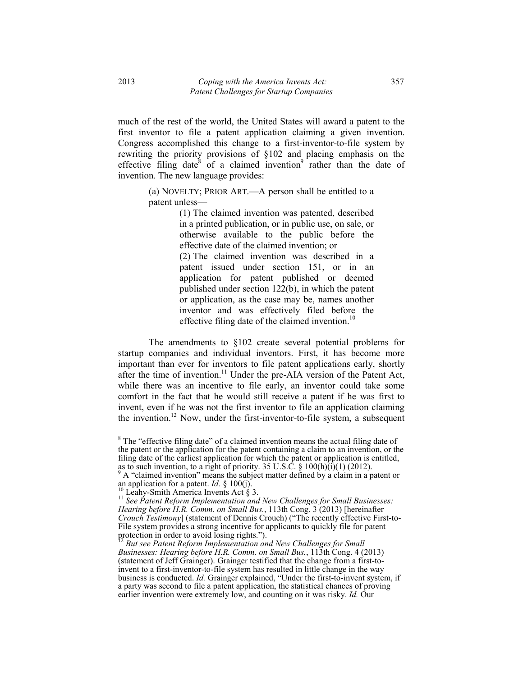much of the rest of the world, the United States will award a patent to the first inventor to file a patent application claiming a given invention. Congress accomplished this change to a first-inventor-to-file system by rewriting the priority provisions of §102 and placing emphasis on the effective filing date<sup>8</sup> of a claimed invention<sup>9</sup> rather than the date of invention. The new language provides:

(a) NOVELTY; PRIOR ART $-A$  person shall be entitled to a patent unless-

> (1) The claimed invention was patented, described in a printed publication, or in public use, on sale, or otherwise available to the public before the effective date of the claimed invention; or (2) The claimed invention was described in a patent issued under section 151, or in an application for patent published or deemed published under section 122(b), in which the patent or application, as the case may be, names another inventor and was effectively filed before the effective filing date of the claimed invention.<sup>10</sup>

The amendments to §102 create several potential problems for startup companies and individual inventors. First, it has become more important than ever for inventors to file patent applications early, shortly after the time of invention.<sup>11</sup> Under the pre-AIA version of the Patent Act, while there was an incentive to file early, an inventor could take some comfort in the fact that he would still receive a patent if he was first to invent, even if he was not the first inventor to file an application claiming the invention.<sup>12</sup> Now, under the first-inventor-to-file system, a subsequent

 $8$  The "effective filing date" of a claimed invention means the actual filing date of the patent or the application for the patent containing a claim to an invention, or the filing date of the earliest application for which the patent or application is entitled, as to such invention, to a right of priority. 35 U.S.C. §  $100(h)(i)(1)(2012)$ .

 $9^9$  A "claimed invention" means the subject matter defined by a claim in a patent or an application for a patent. *Id.* § 100(j).<br>
<sup>10</sup> Leahy-Smith America Invents Act § 3.<br>
<sup>11</sup> *See Patent Reform Implementation and New Challenges for Small Businesses:* 

*Hearing before H.R. Comm. on Small Bus.*, 113th Cong. 3 (2013) [hereinafter *Crouch Testimony*] (statement of Dennis Crouch) ("The recently effective First-to-File system provides a strong incentive for applicants to quickly file for patent protection in order to avoid losing rights.").

<sup>&</sup>lt;sup>2</sup> But see Patent Reform Implementation and New Challenges for Small *Businesses: Hearing before H.R. Comm. on Small Bus.*, 113th Cong. 4 (2013) (statement of Jeff Grainger). Grainger testified that the change from a first-toinvent to a first-inventor-to-file system has resulted in little change in the way business is conducted. *Id.* Grainger explained, "Under the first-to-invent system, if a party was second to file a patent application, the statistical chances of proving earlier invention were extremely low, and counting on it was risky. *Id.* Our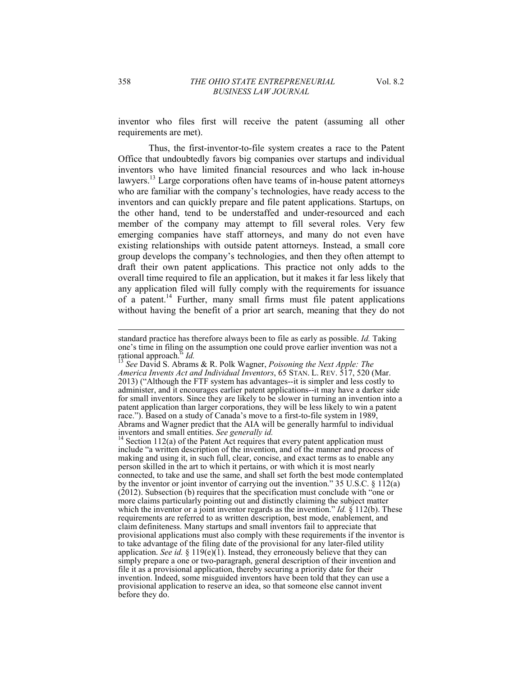inventor who files first will receive the patent (assuming all other requirements are met).

Thus, the first-inventor-to-file system creates a race to the Patent Office that undoubtedly favors big companies over startups and individual inventors who have limited financial resources and who lack in-house lawyers.13 Large corporations often have teams of in-house patent attorneys who are familiar with the company's technologies, have ready access to the inventors and can quickly prepare and file patent applications. Startups, on the other hand, tend to be understaffed and under-resourced and each member of the company may attempt to fill several roles. Very few emerging companies have staff attorneys, and many do not even have existing relationships with outside patent attorneys. Instead, a small core group develops the company's technologies, and then they often attempt to draft their own patent applications. This practice not only adds to the overall time required to file an application, but it makes it far less likely that any application filed will fully comply with the requirements for issuance of a patent.14 Further, many small firms must file patent applications without having the benefit of a prior art search, meaning that they do not

standard practice has therefore always been to file as early as possible. *Id.* Taking one's time in filing on the assumption one could prove earlier invention was not a rational approach.<sup>35</sup> *Id.* **13** *Id.* **13**  *See David S. Abrams & R. Polk Wagner, <i>Poisoning the Next Apple: The* 

*America Invents Act and Individual Inventors*, 65 STAN. L. REV. 517, 520 (Mar. 2013) ("Although the FTF system has advantages--it is simpler and less costly to administer, and it encourages earlier patent applications--it may have a darker side for small inventors. Since they are likely to be slower in turning an invention into a patent application than larger corporations, they will be less likely to win a patent race."). Based on a study of Canada's move to a first-to-file system in 1989, Abrams and Wagner predict that the AIA will be generally harmful to individual

inventors and small entities. *See generally id.* <sup>14</sup> Section 112(a) of the Patent Act requires that every patent application must include "a written description of the invention, and of the manner and process of making and using it, in such full, clear, concise, and exact terms as to enable any person skilled in the art to which it pertains, or with which it is most nearly connected, to take and use the same, and shall set forth the best mode contemplated by the inventor or joint inventor of carrying out the invention."  $35 \text{ U.S.C.} \$ §  $1\overline{12(a)}$  $(2012)$ . Subsection (b) requires that the specification must conclude with "one or more claims particularly pointing out and distinctly claiming the subject matter which the inventor or a joint inventor regards as the invention." *Id.*  $\S 112(b)$ . These requirements are referred to as written description, best mode, enablement, and claim definiteness. Many startups and small inventors fail to appreciate that provisional applications must also comply with these requirements if the inventor is to take advantage of the filing date of the provisional for any later-filed utility application. *See id.* § 119(e)(1). Instead, they erroneously believe that they can simply prepare a one or two-paragraph, general description of their invention and file it as a provisional application, thereby securing a priority date for their invention. Indeed, some misguided inventors have been told that they can use a provisional application to reserve an idea, so that someone else cannot invent before they do.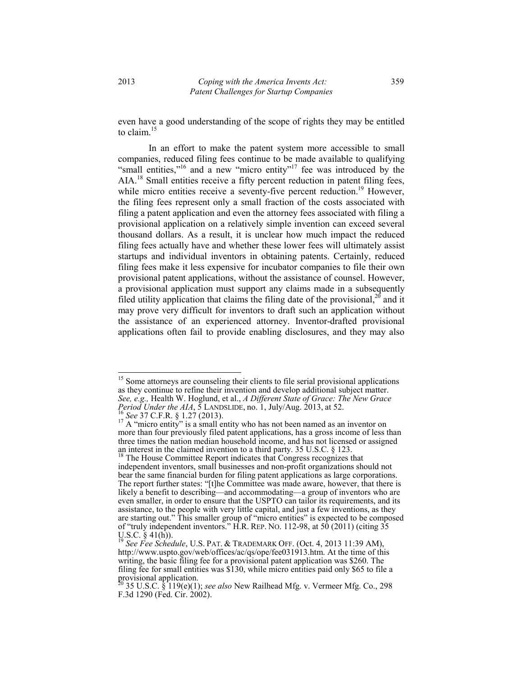even have a good understanding of the scope of rights they may be entitled to claim.<sup>15</sup>

In an effort to make the patent system more accessible to small companies, reduced filing fees continue to be made available to qualifying  $\frac{1}{2}$  small entities,<sup>16</sup> and a new "micro entity<sup>117</sup> fee was introduced by the AIA.<sup>18</sup> Small entities receive a fifty percent reduction in patent filing fees, while micro entities receive a seventy-five percent reduction.<sup>19</sup> However, the filing fees represent only a small fraction of the costs associated with filing a patent application and even the attorney fees associated with filing a provisional application on a relatively simple invention can exceed several thousand dollars. As a result, it is unclear how much impact the reduced filing fees actually have and whether these lower fees will ultimately assist startups and individual inventors in obtaining patents. Certainly, reduced filing fees make it less expensive for incubator companies to file their own provisional patent applications, without the assistance of counsel. However, a provisional application must support any claims made in a subsequently filed utility application that claims the filing date of the provisional,  $2^{0}$  and it may prove very difficult for inventors to draft such an application without the assistance of an experienced attorney. Inventor-drafted provisional applications often fail to provide enabling disclosures, and they may also

<sup>&</sup>lt;sup>15</sup> Some attorneys are counseling their clients to file serial provisional applications as they continue to refine their invention and develop additional subject matter. *See, e.g.,* Health W. Hoglund, et al., *A Different State of Grace: The New Grace Period Under the AIA*, 5 LANDSLIDE, no. 1, July/Aug. 2013, at 52.<br><sup>16</sup> *See* 37 C.F.R. § 1.27 (2013). <sup>17</sup> A "micro entity" is a small entity who has not been named as an inventor on

more than four previously filed patent applications, has a gross income of less than three times the nation median household income, and has not licensed or assigned an interest in the claimed invention to a third party. 35 U.S.C. § 123.

<sup>18</sup> The House Committee Report indicates that Congress recognizes that independent inventors, small businesses and non-profit organizations should not bear the same financial burden for filing patent applications as large corporations. The report further states: "[t]he Committee was made aware, however, that there is likely a benefit to describing—and accommodating—a group of inventors who are even smaller, in order to ensure that the USPTO can tailor its requirements, and its assistance, to the people with very little capital, and just a few inventions, as they are starting out." This smaller group of "micro entities" is expected to be composed of "truly independent inventors." H.R. REP. NO. 112-98, at  $50$  (2011) (citing  $35$ U.S.C.  $\S$  41(h)).

<sup>19</sup> *See Fee Schedule*, U.S. PAT. & TRADEMARK OFF. (Oct. 4, 2013 11:39 AM), http://www.uspto.gov/web/offices/ac/qs/ope/fee031913.htm. At the time of this writing, the basic filing fee for a provisional patent application was \$260. The filing fee for small entities was \$130, while micro entities paid only \$65 to file a provisional application.

<sup>20 35</sup> U.S.C. § 119(e)(1); *see also* New Railhead Mfg. v. Vermeer Mfg. Co., 298 F.3d 1290 (Fed. Cir. 2002).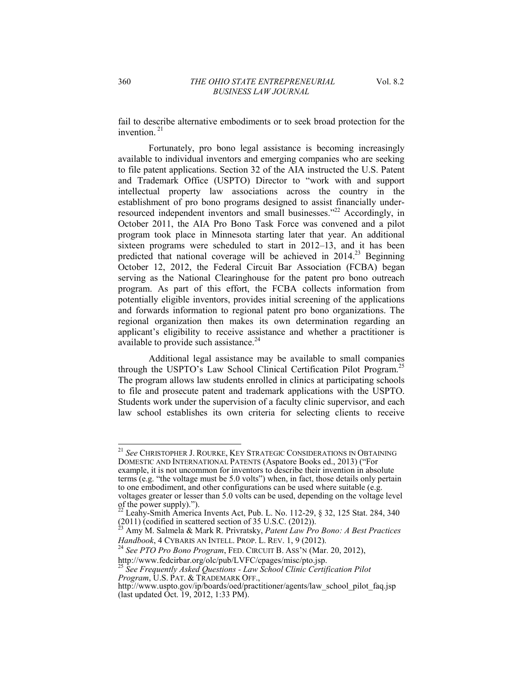fail to describe alternative embodiments or to seek broad protection for the invention.<sup>21</sup>

Fortunately, pro bono legal assistance is becoming increasingly available to individual inventors and emerging companies who are seeking to file patent applications. Section 32 of the AIA instructed the U.S. Patent and Trademark Office (USPTO) Director to "work with and support intellectual property law associations across the country in the establishment of pro bono programs designed to assist financially underresourced independent inventors and small businesses. $^{222}$  Accordingly, in October 2011, the AIA Pro Bono Task Force was convened and a pilot program took place in Minnesota starting later that year. An additional sixteen programs were scheduled to start in  $2012-13$ , and it has been predicted that national coverage will be achieved in  $2014<sup>23</sup>$  Beginning October 12, 2012, the Federal Circuit Bar Association (FCBA) began serving as the National Clearinghouse for the patent pro bono outreach program. As part of this effort, the FCBA collects information from potentially eligible inventors, provides initial screening of the applications and forwards information to regional patent pro bono organizations. The regional organization then makes its own determination regarding an applicant's eligibility to receive assistance and whether a practitioner is available to provide such assistance.<sup>24</sup>

Additional legal assistance may be available to small companies through the USPTO's Law School Clinical Certification Pilot Program.<sup>25</sup> The program allows law students enrolled in clinics at participating schools to file and prosecute patent and trademark applications with the USPTO. Students work under the supervision of a faculty clinic supervisor, and each law school establishes its own criteria for selecting clients to receive

example, it is not uncommon for inventors to describe their invention in absolute terms (e.g. "the voltage must be  $5.0$  volts") when, in fact, those details only pertain to one embodiment, and other configurations can be used where suitable (e.g. voltages greater or lesser than 5.0 volts can be used, depending on the voltage level of the power supply).").

<sup>21</sup> *See* CHRISTOPHER J. ROURKE, KEY STRATEGIC CONSIDERATIONS IN OBTAINING DOMESTIC AND INTERNATIONAL PATENTS (Aspatore Books ed., 2013) ("For

 $^{22}$  Leahy-Smith America Invents Act, Pub. L. No. 112-29, § 32, 125 Stat. 284, 340 (2011) (codified in scattered section of 35 U.S.C. (2012)).

<sup>23</sup> Amy M. Salmela & Mark R. Privratsky, *Patent Law Pro Bono: A Best Practices* 

*Handbook*, 4 CYBARIS AN INTELL. PROP. L. REV. 1, 9 (2012).<br><sup>24</sup> *See PTO Pro Bono Program*, FED. CIRCUIT B. ASS'N (Mar. 20, 2012), http://www.fedcirbar.org/olc/pub/LVFC/cpages/misc/pto.jsp.

<sup>25</sup> *See Frequently Asked Questions - Law School Clinic Certification Pilot Program*, U.S. PAT. & TRADEMARK OFF.,

http://www.uspto.gov/ip/boards/oed/practitioner/agents/law\_school\_pilot\_faq.jsp (last updated Oct. 19, 2012, 1:33 PM).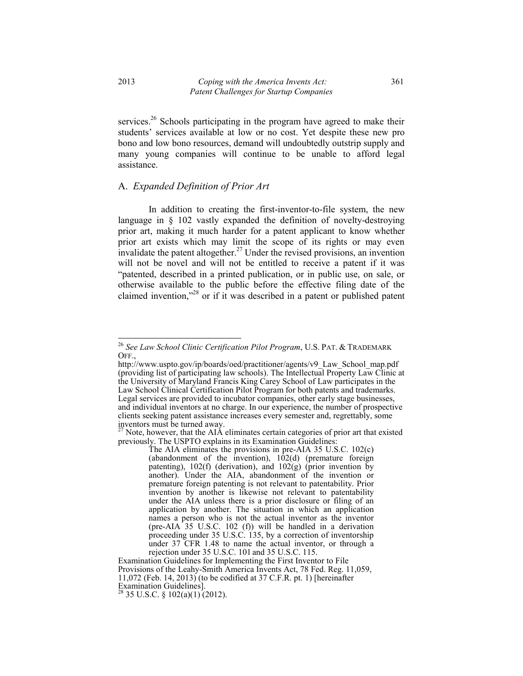services.<sup>26</sup> Schools participating in the program have agreed to make their students' services available at low or no cost. Yet despite these new pro bono and low bono resources, demand will undoubtedly outstrip supply and many young companies will continue to be unable to afford legal assistance.

#### A. *Expanded Definition of Prior Art*

In addition to creating the first-inventor-to-file system, the new language in § 102 vastly expanded the definition of novelty-destroying prior art, making it much harder for a patent applicant to know whether prior art exists which may limit the scope of its rights or may even invalidate the patent altogether.<sup>27</sup> Under the revised provisions, an invention will not be novel and will not be entitled to receive a patent if it was "patented, described in a printed publication, or in public use, on sale, or otherwise available to the public before the effective filing date of the claimed invention,"<sup>28</sup> or if it was described in a patent or published patent

 $27$  Note, however, that the AIA eliminates certain categories of prior art that existed previously. The USPTO explains in its Examination Guidelines:

The AIA eliminates the provisions in pre-AIA 35 U.S.C. 102(c) (abandonment of the invention),  $102(d)$  (premature foreign patenting),  $102(f)$  (derivation), and  $102(g)$  (prior invention by another). Under the AIA, abandonment of the invention or premature foreign patenting is not relevant to patentability. Prior invention by another is likewise not relevant to patentability under the AIA unless there is a prior disclosure or filing of an application by another. The situation in which an application names a person who is not the actual inventor as the inventor (pre-AIA 35 U.S.C. 102 (f)) will be handled in a derivation proceeding under 35 U.S.C. 135, by a correction of inventorship under 37 CFR 1.48 to name the actual inventor, or through a rejection under 35 U.S.C. 101 and 35 U.S.C. 115.

Examination Guidelines for Implementing the First Inventor to File Provisions of the Leahy-Smith America Invents Act, 78 Fed. Reg. 11,059, 11,072 (Feb. 14, 2013) (to be codified at 37 C.F.R. pt. 1) [hereinafter Examination Guidelines].

 $^{28}$  35 U.S.C. § 102(a)(1) (2012).

<sup>26</sup> *See Law School Clinic Certification Pilot Program*, U.S. PAT. & TRADEMARK OFF.,

http://www.uspto.gov/ip/boards/oed/practitioner/agents/v9\_Law\_School\_map.pdf (providing list of participating law schools). The Intellectual Property Law Clinic at the University of Maryland Francis King Carey School of Law participates in the Law School Clinical Certification Pilot Program for both patents and trademarks. Legal services are provided to incubator companies, other early stage businesses, and individual inventors at no charge. In our experience, the number of prospective clients seeking patent assistance increases every semester and, regrettably, some inventors must be turned away.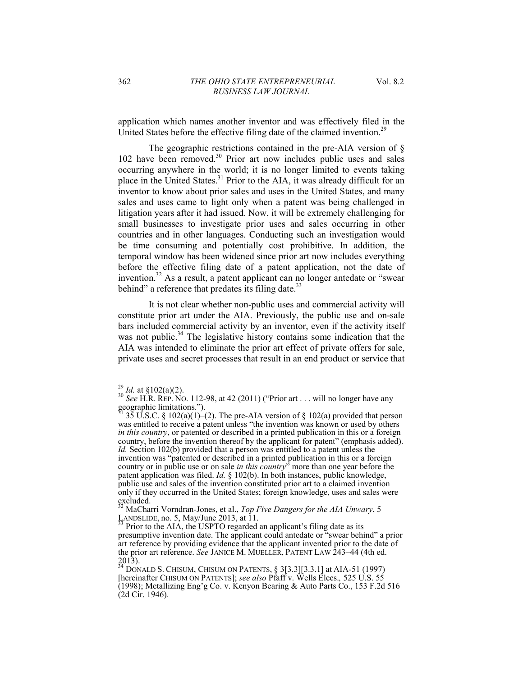application which names another inventor and was effectively filed in the United States before the effective filing date of the claimed invention.<sup>29</sup>

The geographic restrictions contained in the pre-AIA version of § 102 have been removed.<sup>30</sup> Prior art now includes public uses and sales occurring anywhere in the world; it is no longer limited to events taking place in the United States.<sup>31</sup> Prior to the AIA, it was already difficult for an inventor to know about prior sales and uses in the United States, and many sales and uses came to light only when a patent was being challenged in litigation years after it had issued. Now, it will be extremely challenging for small businesses to investigate prior uses and sales occurring in other countries and in other languages. Conducting such an investigation would be time consuming and potentially cost prohibitive. In addition, the temporal window has been widened since prior art now includes everything before the effective filing date of a patent application, not the date of invention.<sup>32</sup> As a result, a patent applicant can no longer antedate or "swear" behind" a reference that predates its filing date. $33$ 

It is not clear whether non-public uses and commercial activity will constitute prior art under the AIA. Previously, the public use and on-sale bars included commercial activity by an inventor, even if the activity itself was not public. $34$  The legislative history contains some indication that the AIA was intended to eliminate the prior art effect of private offers for sale, private uses and secret processes that result in an end product or service that

<sup>&</sup>lt;sup>29</sup> *Id.* at  $\S 102(a)(2)$ .

<sup>&</sup>lt;sup>30</sup> *See* H.R. REP. NO. 112-98, at 42 (2011) ("Prior art . . . will no longer have any geographic limitations.").

 $35 \text{ U.S.C. }$  §  $102(a)(1)-(2)$ . The pre-AIA version of § 102(a) provided that person was entitled to receive a patent unless "the invention was known or used by others *in this country*, or patented or described in a printed publication in this or a foreign country, before the invention thereof by the applicant for patent" (emphasis added). *Id.* Section 102(b) provided that a person was entitled to a patent unless the invention was "patented or described in a printed publication in this or a foreign country or in public use or on sale *in this country*<sup>3</sup> more than one year before the patent application was filed. *Id.* § 102(b). In both instances, public knowledge, public use and sales of the invention constituted prior art to a claimed invention only if they occurred in the United States; foreign knowledge, uses and sales were  $ext{excluded.}$ 

<sup>32</sup> MaCharri Vorndran-Jones, et al., *Top Five Dangers for the AIA Unwary*, 5 LANDSLIDE, no. 5, May/June 2013, at  $\overline{11}$ .<br><sup>33</sup> Prior to the AIA, the USPTO regarded an applicant's filing date as its

presumptive invention date. The applicant could antedate or "swear behind" a prior art reference by providing evidence that the applicant invented prior to the date of the prior art reference. *See JANICE M. MUELLER*, PATENT LAW 243–44 (4th ed. 2013).

 $^{34}$  DONALD S. CHISUM, CHISUM ON PATENTS, § 3[3.3][3.3.1] at AIA-51 (1997) [hereinafter CHISUM ON PATENTS]; *see also* Pfaff v. Wells Elecs.*,* 525 U.S. 55  $(1998)$ ; Metallizing Eng'g Co. v. Kenyon Bearing & Auto Parts Co., 153 F.2d 516 (2d Cir. 1946).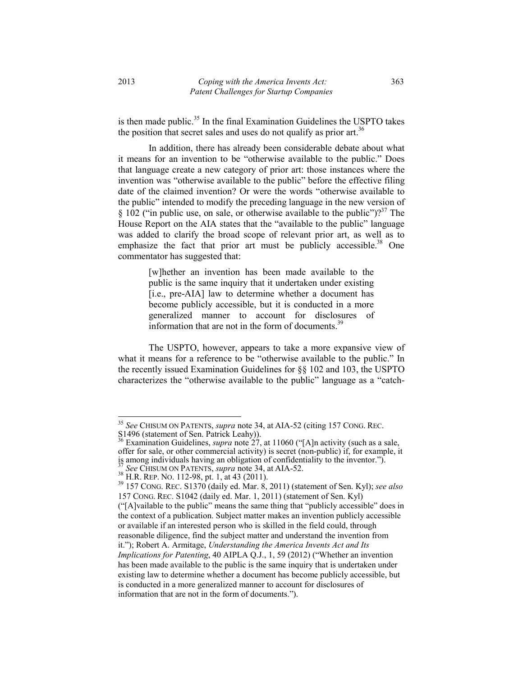is then made public.<sup>35</sup> In the final Examination Guidelines the USPTO takes the position that secret sales and uses do not qualify as prior art.<sup>36</sup>

In addition, there has already been considerable debate about what it means for an invention to be "otherwise available to the public." Does that language create a new category of prior art: those instances where the invention was "otherwise available to the public" before the effective filing date of the claimed invention? Or were the words "otherwise available to the public" intended to modify the preceding language in the new version of § 102 ("in public use, on sale, or otherwise available to the public")?<sup>37</sup> The House Report on the AIA states that the "available to the public" language was added to clarify the broad scope of relevant prior art, as well as to emphasize the fact that prior art must be publicly accessible.<sup>38</sup> One commentator has suggested that:

> [w]hether an invention has been made available to the public is the same inquiry that it undertaken under existing [i.e., pre-AIA] law to determine whether a document has become publicly accessible, but it is conducted in a more generalized manner to account for disclosures of information that are not in the form of documents. $39$

The USPTO, however, appears to take a more expansive view of what it means for a reference to be "otherwise available to the public." In the recently issued Examination Guidelines for §§ 102 and 103, the USPTO characterizes the "otherwise available to the public" language as a "catch-

<sup>35</sup> *See* CHISUM ON PATENTS, *supra* note 34, at AIA-52 (citing 157 CONG. REC. S1496 (statement of Sen. Patrick Leahy)).

S1496 (statement of Sen. Patrick Leahy)).<br><sup>36</sup> Examination Guidelines, *supra* note 27, at 11060 ("[A]n activity (such as a sale, offer for sale, or other commercial activity) is secret (non-public) if, for example, it is among individuals having an obligation of confidentiality to the inventor."). <sup>37</sup> *See* CHISUM ON PATENTS, *supra* note 34, at AIA-52. 38 H.R. REP. NO. 112-98, pt. 1, at 43 (2011). 39 157 CONG. REC. S1370 (daily ed. Mar. 8, 2011) (statement of Sen. Kyl); *see also*

<sup>157</sup> CONG. REC. S1042 (daily ed. Mar. 1, 2011) (statement of Sen. Kyl)

 $('[A]$ vailable to the public" means the same thing that "publicly accessible" does in the context of a publication. Subject matter makes an invention publicly accessible or available if an interested person who is skilled in the field could, through reasonable diligence, find the subject matter and understand the invention from it."); Robert A. Armitage, *Understanding the America Invents Act and Its Implications for Patenting*, 40 AIPLA Q.J., 1, 59 (2012) ("Whether an invention has been made available to the public is the same inquiry that is undertaken under existing law to determine whether a document has become publicly accessible, but is conducted in a more generalized manner to account for disclosures of information that are not in the form of documents.").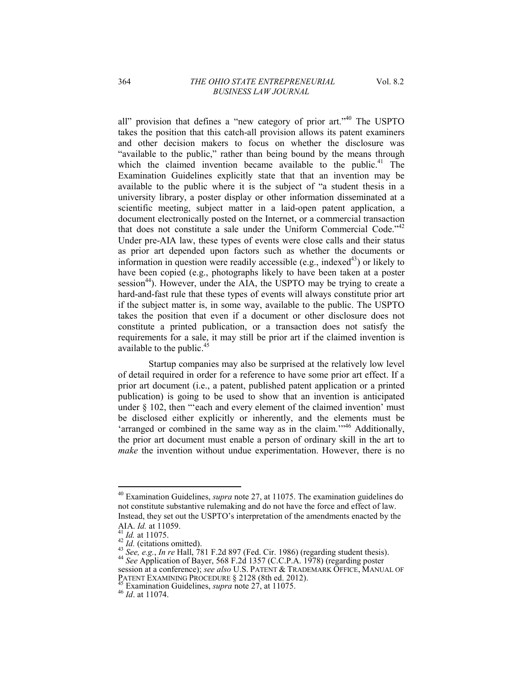all" provision that defines a "new category of prior art." $40$  The USPTO takes the position that this catch-all provision allows its patent examiners and other decision makers to focus on whether the disclosure was "available to the public," rather than being bound by the means through which the claimed invention became available to the public.<sup>41</sup> The Examination Guidelines explicitly state that that an invention may be available to the public where it is the subject of "a student thesis in a university library, a poster display or other information disseminated at a scientific meeting, subject matter in a laid-open patent application, a document electronically posted on the Internet, or a commercial transaction that does not constitute a sale under the Uniform Commercial Code.<sup> $142$ </sup> Under pre-AIA law, these types of events were close calls and their status as prior art depended upon factors such as whether the documents or information in question were readily accessible (e.g., indexed<sup>43</sup>) or likely to have been copied (e.g., photographs likely to have been taken at a poster session<sup>44</sup>). However, under the AIA, the USPTO may be trying to create a hard-and-fast rule that these types of events will always constitute prior art if the subject matter is, in some way, available to the public. The USPTO takes the position that even if a document or other disclosure does not constitute a printed publication, or a transaction does not satisfy the requirements for a sale, it may still be prior art if the claimed invention is available to the public.<sup>4</sup>

Startup companies may also be surprised at the relatively low level of detail required in order for a reference to have some prior art effect. If a prior art document (i.e., a patent, published patent application or a printed publication) is going to be used to show that an invention is anticipated under  $\S$  102, then "'each and every element of the claimed invention' must be disclosed either explicitly or inherently, and the elements must be 'arranged or combined in the same way as in the claim.<sup> $1/46$ </sup> Additionally, the prior art document must enable a person of ordinary skill in the art to *make* the invention without undue experimentation. However, there is no

<sup>40</sup> Examination Guidelines, *supra* note 27, at 11075. The examination guidelines do not constitute substantive rulemaking and do not have the force and effect of law. Instead, they set out the USPTO's interpretation of the amendments enacted by the

AIA. *Id.* at 11059.<br><sup>41</sup> *Id.* at 11075.<br><sup>42</sup> *Id.* (citations omitted).<br><sup>43</sup> *See, e.g., In re* Hall, 781 F.2d 897 (Fed. Cir. 1986) (regarding student thesis).<br><sup>44</sup> *See* Application of Bayer, 568 F.2d 1357 (C.C.P.A. 197

session at a conference); *see also* U.S. PATENT & TRADEMARK OFFICE, MANUAL OF PATENT EXAMINING PROCEDURE § 2128 (8th ed. 2012).<br><sup>45</sup> Examination Guidelines, *supra* note 27, at 11075.<br><sup>46</sup> Id. at 11074.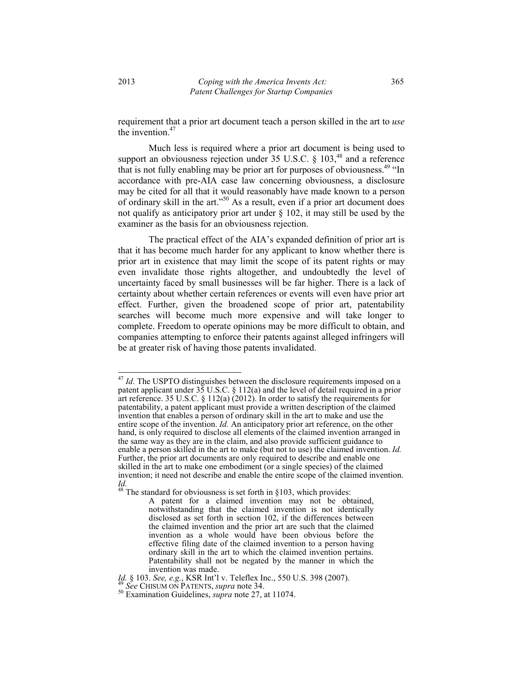requirement that a prior art document teach a person skilled in the art to *use* the invention.<sup>47</sup>

Much less is required where a prior art document is being used to support an obviousness rejection under  $35 \text{ U.S.C. }$  §  $103<sup>48</sup>$  and a reference that is not fully enabling may be prior art for purposes of obviousness.<sup>49 "In</sup> accordance with pre-AIA case law concerning obviousness, a disclosure may be cited for all that it would reasonably have made known to a person of ordinary skill in the art."<sup>50</sup> As a result, even if a prior art document does not qualify as anticipatory prior art under  $\S$  102, it may still be used by the examiner as the basis for an obviousness rejection.

The practical effect of the AIA's expanded definition of prior art is that it has become much harder for any applicant to know whether there is prior art in existence that may limit the scope of its patent rights or may even invalidate those rights altogether, and undoubtedly the level of uncertainty faced by small businesses will be far higher. There is a lack of certainty about whether certain references or events will even have prior art effect. Further, given the broadened scope of prior art, patentability searches will become much more expensive and will take longer to complete. Freedom to operate opinions may be more difficult to obtain, and companies attempting to enforce their patents against alleged infringers will be at greater risk of having those patents invalidated.

<sup>&</sup>lt;sup>47</sup> *Id.* The USPTO distinguishes between the disclosure requirements imposed on a patent applicant under 35 U.S.C. § 112(a) and the level of detail required in a prior art reference. 35 U.S.C. § 112(a)  $(2012)$ . In order to satisfy the requirements for patentability, a patent applicant must provide a written description of the claimed invention that enables a person of ordinary skill in the art to make and use the entire scope of the invention. *Id.* An anticipatory prior art reference, on the other hand, is only required to disclose all elements of the claimed invention arranged in the same way as they are in the claim, and also provide sufficient guidance to enable a person skilled in the art to make (but not to use) the claimed invention. *Id.*  Further, the prior art documents are only required to describe and enable one skilled in the art to make one embodiment (or a single species) of the claimed invention; it need not describe and enable the entire scope of the claimed invention. *Id.* 

 $48$ <sup>48</sup> The standard for obviousness is set forth in §103, which provides:

A patent for a claimed invention may not be obtained, notwithstanding that the claimed invention is not identically disclosed as set forth in section 102, if the differences between the claimed invention and the prior art are such that the claimed invention as a whole would have been obvious before the effective filing date of the claimed invention to a person having ordinary skill in the art to which the claimed invention pertains. Patentability shall not be negated by the manner in which the invention was made.

*Id.* § 103. *See, e.g.*, KSR Int'l v. Teleflex Inc., 550 U.S. 398 (2007). <sup>49</sup> *See* CHISUM ON PATENTS, *supra* note 34. <sup>50</sup> Examination Guidelines, *supra* note 27, at 11074.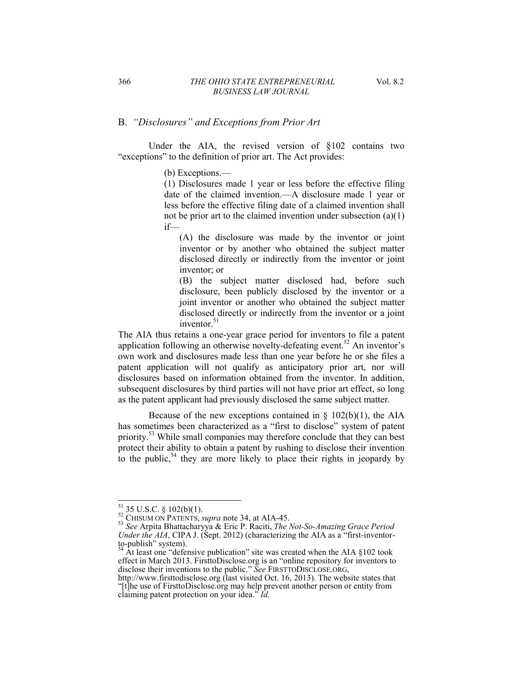## B. "Disclosures" and Exceptions from Prior Art

Under the AIA, the revised version of §102 contains two "exceptions" to the definition of prior art. The Act provides:

 $(b)$  Exceptions.—

(1) Disclosures made 1 year or less before the effective filing date of the claimed invention.—A disclosure made 1 year or less before the effective filing date of a claimed invention shall not be prior art to the claimed invention under subsection (a)(1)  $if$ 

(A) the disclosure was made by the inventor or joint inventor or by another who obtained the subject matter disclosed directly or indirectly from the inventor or joint inventor; or

(B) the subject matter disclosed had, before such disclosure, been publicly disclosed by the inventor or a joint inventor or another who obtained the subject matter disclosed directly or indirectly from the inventor or a joint inventor. $51$ 

The AIA thus retains a one-year grace period for inventors to file a patent application following an otherwise novelty-defeating event.<sup>52</sup> An inventor's own work and disclosures made less than one year before he or she files a patent application will not qualify as anticipatory prior art, nor will disclosures based on information obtained from the inventor. In addition, subsequent disclosures by third parties will not have prior art effect, so long as the patent applicant had previously disclosed the same subject matter.

Because of the new exceptions contained in  $\S$  102(b)(1), the AIA has sometimes been characterized as a "first to disclose" system of patent priority.<sup>53</sup> While small companies may therefore conclude that they can best protect their ability to obtain a patent by rushing to disclose their invention to the public,<sup>54</sup> they are more likely to place their rights in jeopardy by

<sup>&</sup>lt;sup>51</sup> 35 U.S.C. § 102(b)(1).<br><sup>52</sup> CHISUM ON PATENTS, *supra* note 34, at AIA-45.<br><sup>53</sup> *See* Arpita Bhattacharyya & Eric P. Raciti, *The Not-So-Amazing Grace Period* <sup>53</sup> See Arpita Bhattacharyya & Eric P. Raciti, *The Not-So-Amazing Grace Period Under the AIA*, CIPA J. (Sept. 2012) (characterizing the AIA as a "first-inventorto-publish" system).

 $^{54}$  At least one "defensive publication" site was created when the AIA §102 took effect in March 2013. FirsttoDisclose.org is an "online repository for inventors to disclose their inventions to the public." See FIRSTTODISCLOSE.ORG,

http://www.firsttodisclose.org (last visited Oct. 16, 2013). The website states that "[t]he use of FirsttoDisclose.org may help prevent another person or entity from claiming patent protection on your idea." *Id.*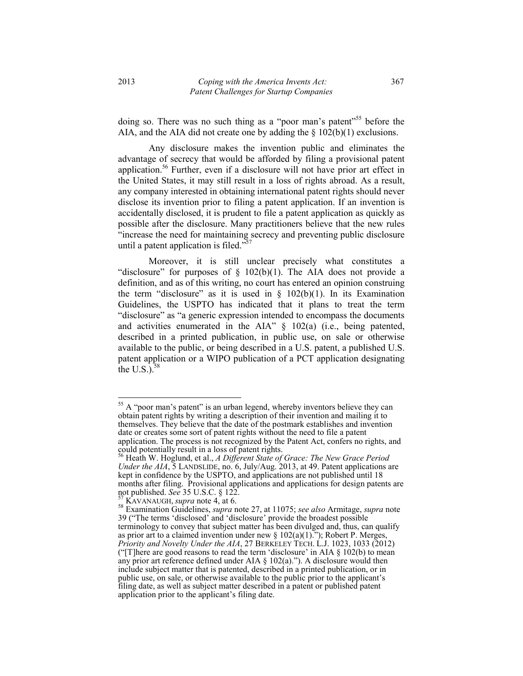doing so. There was no such thing as a "poor man's patent"<sup>55</sup> before the AIA, and the AIA did not create one by adding the  $\S$  102(b)(1) exclusions.

Any disclosure makes the invention public and eliminates the advantage of secrecy that would be afforded by filing a provisional patent application.56 Further, even if a disclosure will not have prior art effect in the United States, it may still result in a loss of rights abroad. As a result, any company interested in obtaining international patent rights should never disclose its invention prior to filing a patent application. If an invention is accidentally disclosed, it is prudent to file a patent application as quickly as possible after the disclosure. Many practitioners believe that the new rules "increase the need for maintaining secrecy and preventing public disclosure until a patent application is filed.<sup> $\overline{55}$ </sup>

Moreover, it is still unclear precisely what constitutes a "disclosure" for purposes of  $\S$  102(b)(1). The AIA does not provide a definition, and as of this writing, no court has entered an opinion construing the term "disclosure" as it is used in  $\S$  102(b)(1). In its Examination Guidelines, the USPTO has indicated that it plans to treat the term "disclosure" as "a generic expression intended to encompass the documents and activities enumerated in the AIA"  $\S$  102(a) (i.e., being patented, described in a printed publication, in public use, on sale or otherwise available to the public, or being described in a U.S. patent, a published U.S. patent application or a WIPO publication of a PCT application designating the U.S. $)$ <sup>58</sup>

 $55$  A "poor man's patent" is an urban legend, whereby inventors believe they can obtain patent rights by writing a description of their invention and mailing it to themselves. They believe that the date of the postmark establishes and invention date or creates some sort of patent rights without the need to file a patent application. The process is not recognized by the Patent Act, confers no rights, and could potentially result in a loss of patent rights.

<sup>56</sup> Heath W. Hoglund, et al., *A Different State of Grace: The New Grace Period Under the AIA*, 5 LANDSLIDE, no. 6, July/Aug. 2013, at 49. Patent applications are kept in confidence by the USPTO, and applications are not published until 18 months after filing. Provisional applications and applications for design patents are<br>not published. See 35 U.S.C.  $\S$  122.

not published. *See* 35 U.S.C. § 122.<br><sup>57</sup> KAVANAUGH, *supra* note 4, at 6.<br><sup>58</sup> Examination Guidelines, *supra* note 27, at 11075; *see also* Armitage, *supra* note 39 ("The terms 'disclosed' and 'disclosure' provide the broadest possible terminology to convey that subject matter has been divulged and, thus, can qualify as prior art to a claimed invention under new  $\S 102(a)(1)$ ."); Robert P. Merges, *Priority and Novelty Under the AIA*, 27 BERKELEY TECH. L.J. 1023, 1033 (2012) ("There are good reasons to read the term 'disclosure' in AIA  $\S$  102(b) to mean any prior art reference defined under AIA  $\S$  102(a)."). A disclosure would then include subject matter that is patented, described in a printed publication, or in public use, on sale, or otherwise available to the public prior to the applicant's filing date, as well as subject matter described in a patent or published patent application prior to the applicant's filing date.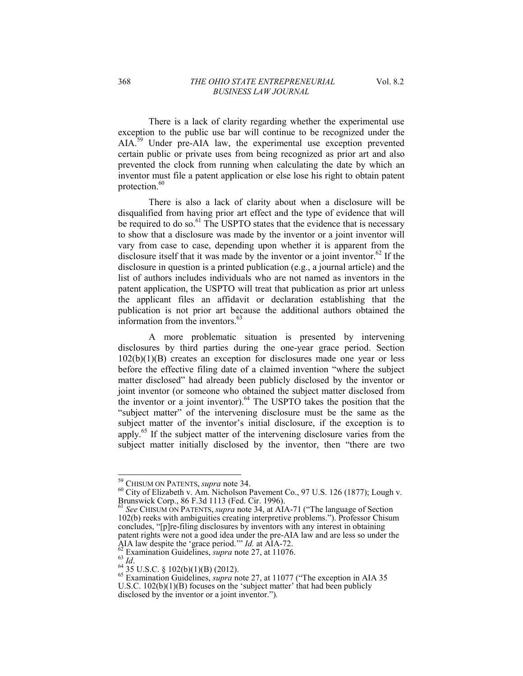There is a lack of clarity regarding whether the experimental use exception to the public use bar will continue to be recognized under the AIA.<sup>59</sup> Under pre-AIA law, the experimental use exception prevented certain public or private uses from being recognized as prior art and also prevented the clock from running when calculating the date by which an inventor must file a patent application or else lose his right to obtain patent protection.<sup>60</sup>

There is also a lack of clarity about when a disclosure will be disqualified from having prior art effect and the type of evidence that will be required to do so.<sup>61</sup> The USPTO states that the evidence that is necessary to show that a disclosure was made by the inventor or a joint inventor will vary from case to case, depending upon whether it is apparent from the disclosure itself that it was made by the inventor or a joint inventor.<sup>62</sup> If the disclosure in question is a printed publication (e.g., a journal article) and the list of authors includes individuals who are not named as inventors in the patent application, the USPTO will treat that publication as prior art unless the applicant files an affidavit or declaration establishing that the publication is not prior art because the additional authors obtained the information from the inventors.  $63$ 

 A more problematic situation is presented by intervening disclosures by third parties during the one-year grace period. Section 102(b)(1)(B) creates an exception for disclosures made one year or less before the effective filing date of a claimed invention "where the subject matter disclosed" had already been publicly disclosed by the inventor or joint inventor (or someone who obtained the subject matter disclosed from the inventor or a joint inventor).<sup>64</sup> The USPTO takes the position that the "subject matter" of the intervening disclosure must be the same as the subject matter of the inventor's initial disclosure, if the exception is to apply.65 If the subject matter of the intervening disclosure varies from the subject matter initially disclosed by the inventor, then "there are two

<sup>&</sup>lt;sup>59</sup> CHISUM ON PATENTS, *supra* note 34.

<sup>59</sup> CHISUM ON PATENTS, *supra* note 34. 60 City of Elizabeth v. Am. Nicholson Pavement Co., 97 U.S. 126 (1877); Lough v.

Brunswick Corp., 86 F.3d 1113 (Fed. Cir. 1996).<br><sup>61</sup> *See* CHISUM ON PATENTS, *supra* note 34, at AIA-71 ("The language of Section 102(b) reeks with ambiguities creating interpretive problems."). Professor Chisum concludes, "[p]re-filing disclosures by inventors with any interest in obtaining patent rights were not a good idea under the pre-AIA law and are less so under the

AIA law despite the 'grace period.'" *Id.* at AIA-72.<br>
<sup>62</sup> Examination Guidelines, *supra* note 27, at 11076.<br>
<sup>64</sup> 35 U.S.C. § 102(b)(1)(B) (2012).<br>
<sup>64</sup> 35 U.S.C. § 102(b)(1)(B) (2012).<br>
<sup>65</sup> Examination Guidelines, *s* U.S.C.  $102(b)(1)(B)$  focuses on the 'subject matter' that had been publicly disclosed by the inventor or a joint inventor.").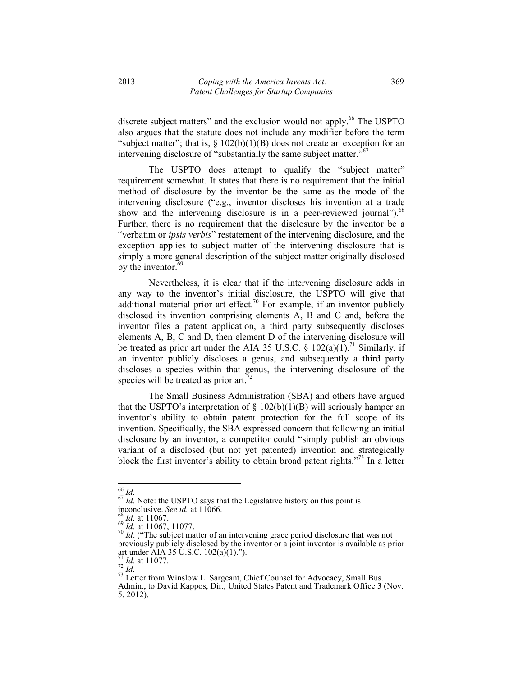discrete subject matters" and the exclusion would not apply.<sup>66</sup> The USPTO also argues that the statute does not include any modifier before the term "subject matter"; that is,  $\S$  102(b)(1)(B) does not create an exception for an intervening disclosure of "substantially the same subject matter."<sup>67</sup>

The USPTO does attempt to qualify the "subject matter" requirement somewhat. It states that there is no requirement that the initial method of disclosure by the inventor be the same as the mode of the intervening disclosure ("e.g., inventor discloses his invention at a trade show and the intervening disclosure is in a peer-reviewed journal").<sup>68</sup> Further, there is no requirement that the disclosure by the inventor be a "verbatim or *ipsis verbis*" restatement of the intervening disclosure, and the exception applies to subject matter of the intervening disclosure that is simply a more general description of the subject matter originally disclosed by the inventor.<sup>69</sup>

Nevertheless, it is clear that if the intervening disclosure adds in any way to the inventor's initial disclosure, the USPTO will give that additional material prior art effect.<sup>70</sup> For example, if an inventor publicly disclosed its invention comprising elements A, B and C and, before the inventor files a patent application, a third party subsequently discloses elements A, B, C and D, then element D of the intervening disclosure will be treated as prior art under the AIA 35 U.S.C. §  $102(a)(1)$ .<sup>71</sup> Similarly, if an inventor publicly discloses a genus, and subsequently a third party discloses a species within that genus, the intervening disclosure of the species will be treated as prior art.<sup>7</sup>

The Small Business Administration (SBA) and others have argued that the USPTO's interpretation of  $\S$  102(b)(1)(B) will seriously hamper an inventor's ability to obtain patent protection for the full scope of its invention. Specifically, the SBA expressed concern that following an initial disclosure by an inventor, a competitor could "simply publish an obvious variant of a disclosed (but not yet patented) invention and strategically block the first inventor's ability to obtain broad patent rights. $v^{73}$  In a letter

 $66$   $1d$ 

<sup>&</sup>lt;sup>67</sup> *Id.* Note: the USPTO says that the Legislative history on this point is inconclusive. See id. at 11066.<br><sup>68</sup> *Id.* at 11067.<br><sup>69</sup> *Id.* at 11067, 11077.

<sup>&</sup>lt;sup>70</sup> *Id.* at 11067, 11077. **See 11067.** The *I*<sup>1</sup> *Id.* ("The subject matter of an intervening grace period disclosure that was not previously publicly disclosed by the inventor or a joint inventor is available as prior art under AIA 35 U.S.C. 102(a)(1).").<br>
<sup>71</sup> *Id.* at 11077.<br>
<sup>72</sup> *Id.* 

<sup>&</sup>lt;sup>73</sup> Letter from Winslow L. Sargeant, Chief Counsel for Advocacy, Small Bus. Admin., to David Kappos, Dir., United States Patent and Trademark Office 3 (Nov. 5, 2012).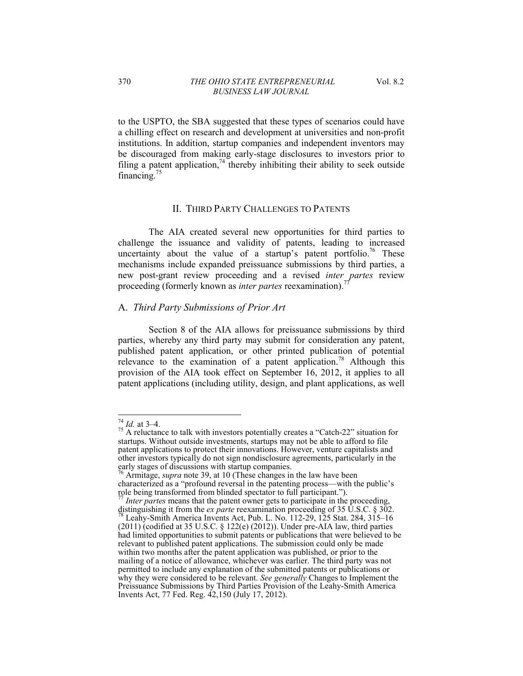to the USPTO, the SBA suggested that these types of scenarios could have a chilling effect on research and development at universities and non-profit institutions. In addition, startup companies and independent inventors may be discouraged from making early-stage disclosures to investors prior to filing a patent application,<sup>74</sup> thereby inhibiting their ability to seek outside financing.<sup>75</sup>

## II. THIRD PARTY CHALLENGES TO PATENTS

The AIA created several new opportunities for third parties to challenge the issuance and validity of patents, leading to increased uncertainty about the value of a startup's patent portfolio.<sup>76</sup> These mechanisms include expanded preissuance submissions by third parties, a new post-grant review proceeding and a revised *inter partes* review proceeding (formerly known as *inter partes* reexamination).77

# A. *Third Party Submissions of Prior Art*

Section 8 of the AIA allows for preissuance submissions by third parties, whereby any third party may submit for consideration any patent, published patent application, or other printed publication of potential relevance to the examination of a patent application.<sup>78</sup> Although this provision of the AIA took effect on September 16, 2012, it applies to all patent applications (including utility, design, and plant applications, as well

<sup>&</sup>lt;sup>74</sup> *Id.* at 3–4.<br><sup>75</sup> A reluctance to talk with investors potentially creates a "Catch-22" situation for startups. Without outside investments, startups may not be able to afford to file patent applications to protect their innovations. However, venture capitalists and other investors typically do not sign nondisclosure agreements, particularly in the early stages of discussions with startup companies.

<sup>76</sup> Armitage, *supra* note 39, at 10 (These changes in the law have been characterized as a "profound reversal in the patenting process—with the public's role being transformed from blinded spectator to full participant.").

<sup>&</sup>lt;sup>77</sup> *Inter partes* means that the patent owner gets to participate in the proceeding, distinguishing it from the *ex parte* reexamination proceeding of 35 U.S.C. § 302.<br><sup>78</sup> Leahy-Smith America Invents Act, Pub. L. No. 112-29, 125 Stat. 284, 315–16  $(2011)$  (codified at 35 U.S.C. § 122(e)  $(2012)$ ). Under pre-AIA law, third parties had limited opportunities to submit patents or publications that were believed to be relevant to published patent applications. The submission could only be made within two months after the patent application was published, or prior to the mailing of a notice of allowance, whichever was earlier. The third party was not permitted to include any explanation of the submitted patents or publications or why they were considered to be relevant. *See generally* Changes to Implement the Preissuance Submissions by Third Parties Provision of the Leahy-Smith America Invents Act, 77 Fed. Reg. 42,150 (July 17, 2012).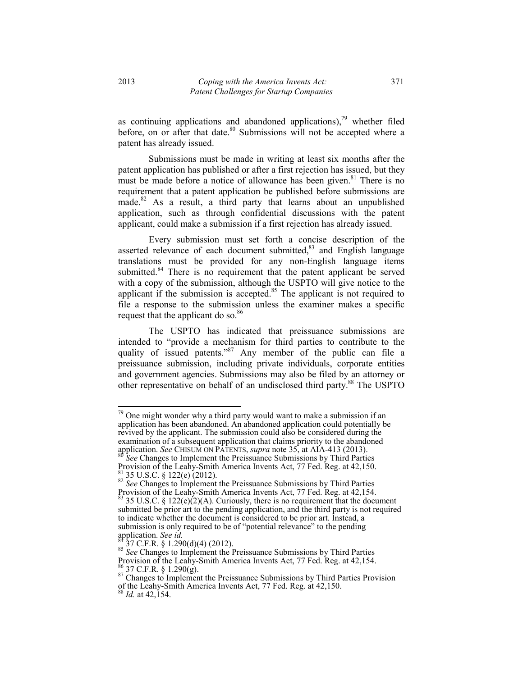as continuing applications and abandoned applications), $79$  whether filed before, on or after that date.<sup>80</sup> Submissions will not be accepted where a patent has already issued.

Submissions must be made in writing at least six months after the patent application has published or after a first rejection has issued, but they must be made before a notice of allowance has been given.<sup>81</sup> There is no requirement that a patent application be published before submissions are made.<sup>82</sup> As a result, a third party that learns about an unpublished application, such as through confidential discussions with the patent applicant, could make a submission if a first rejection has already issued.

Every submission must set forth a concise description of the asserted relevance of each document submitted, $83$  and English language translations must be provided for any non-English language items submitted.<sup>84</sup> There is no requirement that the patent applicant be served with a copy of the submission, although the USPTO will give notice to the applicant if the submission is accepted.<sup>85</sup> The applicant is not required to file a response to the submission unless the examiner makes a specific request that the applicant do so.<sup>86</sup>

The USPTO has indicated that preissuance submissions are intended to "provide a mechanism for third parties to contribute to the quality of issued patents."<sup>87</sup> Any member of the public can file a preissuance submission, including private individuals, corporate entities and government agencies. Submissions may also be filed by an attorney or other representative on behalf of an undisclosed third party.88 The USPTO

 $79$  One might wonder why a third party would want to make a submission if an application has been abandoned. An abandoned application could potentially be revived by the applicant. The submission could also be considered during the examination of a subsequent application that claims priority to the abandoned application. *See* CHISUM ON PATENTS, *supra* note 35, at AIA-413 (2013). <sup>80</sup> *See* Changes to Implement the Preissuance Submissions by Third Parties

Provision of the Leahy-Smith America Invents Act, 77 Fed. Reg. at 42,150. <sup>81</sup> 35 U.S.C. § 122(e) (2012).<br><sup>82</sup> *See* Changes to Implement the Preissuance Submissions by Third Parties

Provision of the Leahy-Smith America Invents Act, 77 Fed. Reg. at 42,154.

 $83$  35 U.S.C. § 122(e)(2)(A). Curiously, there is no requirement that the document submitted be prior art to the pending application, and the third party is not required to indicate whether the document is considered to be prior art. Instead, a submission is only required to be of "potential relevance" to the pending application. See  $id$ .

application. *See id.* 84 37 C.F.R. § 1.290(d)(4) (2012). 85 *See* Changes to Implement the Preissuance Submissions by Third Parties Provision of the Leahy-Smith America Invents Act, 77 Fed. Reg. at  $42,154$ .<br> $^{86}$  37 C.F.R. § 1.290(g).

<sup>&</sup>lt;sup>87</sup> Changes to Implement the Preissuance Submissions by Third Parties Provision of the Leahy-Smith America Invents Act, 77 Fed. Reg. at 42,150. <sup>88</sup> *Id.* at 42,154.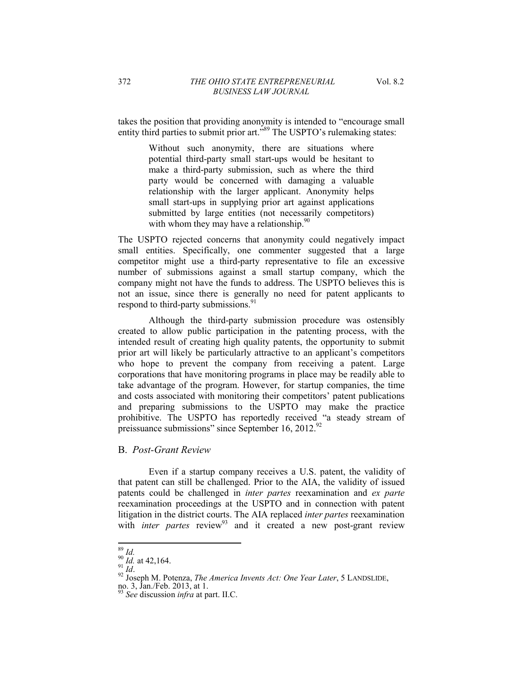takes the position that providing anonymity is intended to "encourage small entity third parties to submit prior art.<sup> $589$ </sup> The USPTO's rulemaking states:

> Without such anonymity, there are situations where potential third-party small start-ups would be hesitant to make a third-party submission, such as where the third party would be concerned with damaging a valuable relationship with the larger applicant. Anonymity helps small start-ups in supplying prior art against applications submitted by large entities (not necessarily competitors) with whom they may have a relationship. $90$

The USPTO rejected concerns that anonymity could negatively impact small entities. Specifically, one commenter suggested that a large competitor might use a third-party representative to file an excessive number of submissions against a small startup company, which the company might not have the funds to address. The USPTO believes this is not an issue, since there is generally no need for patent applicants to respond to third-party submissions.<sup>91</sup>

Although the third-party submission procedure was ostensibly created to allow public participation in the patenting process, with the intended result of creating high quality patents, the opportunity to submit prior art will likely be particularly attractive to an applicant's competitors who hope to prevent the company from receiving a patent. Large corporations that have monitoring programs in place may be readily able to take advantage of the program. However, for startup companies, the time and costs associated with monitoring their competitors' patent publications and preparing submissions to the USPTO may make the practice prohibitive. The USPTO has reportedly received "a steady stream of preissuance submissions" since September 16, 2012. $92$ 

## B. *Post-Grant Review*

Even if a startup company receives a U.S. patent, the validity of that patent can still be challenged. Prior to the AIA, the validity of issued patents could be challenged in *inter partes* reexamination and *ex parte* reexamination proceedings at the USPTO and in connection with patent litigation in the district courts. The AIA replaced *inter partes* reexamination with *inter partes* review<sup>93</sup> and it created a new post-grant review

 $^{89}_{90}$  *Id.* at 42,164.

<sup>&</sup>lt;sup>92</sup> Joseph M. Potenza, *The America Invents Act: One Year Later*, 5 LANDSLIDE, no. 3, Jan./Feb. 2013, at 1.<br> $\frac{1}{93}$  at 1.

<sup>93</sup> *See* discussion *infra* at part. II.C.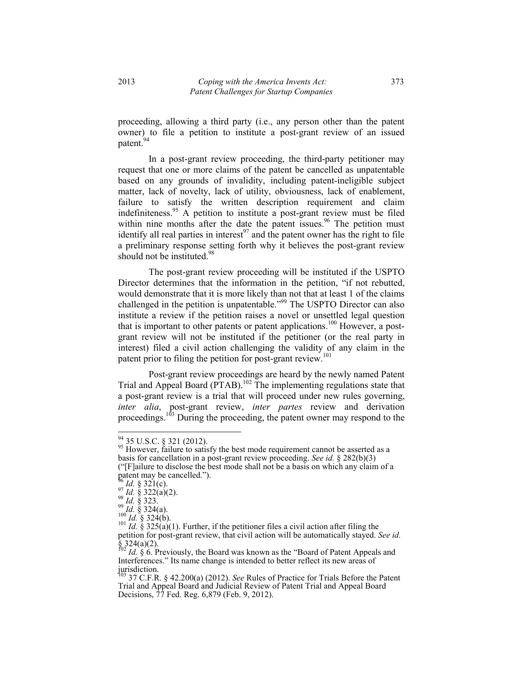proceeding, allowing a third party (i.e., any person other than the patent owner) to file a petition to institute a post-grant review of an issued patent.<sup>94</sup>

In a post-grant review proceeding, the third-party petitioner may request that one or more claims of the patent be cancelled as unpatentable based on any grounds of invalidity, including patent-ineligible subject matter, lack of novelty, lack of utility, obviousness, lack of enablement, failure to satisfy the written description requirement and claim indefiniteness.<sup>95</sup> A petition to institute a post-grant review must be filed within nine months after the date the patent issues.<sup>96</sup> The petition must identify all real parties in interest<sup>97</sup> and the patent owner has the right to file a preliminary response setting forth why it believes the post-grant review should not be instituted.<sup>98</sup>

The post-grant review proceeding will be instituted if the USPTO Director determines that the information in the petition, "if not rebutted, would demonstrate that it is more likely than not that at least 1 of the claims challenged in the petition is unpatentable.<sup>399</sup> The USPTO Director can also institute a review if the petition raises a novel or unsettled legal question that is important to other patents or patent applications.<sup>100</sup> However, a postgrant review will not be instituted if the petitioner (or the real party in interest) filed a civil action challenging the validity of any claim in the patent prior to filing the petition for post-grant review.<sup>101</sup>

Post-grant review proceedings are heard by the newly named Patent Trial and Appeal Board (PTAB).<sup>102</sup> The implementing regulations state that a post-grant review is a trial that will proceed under new rules governing, *inter alia*, post-grant review, *inter partes* review and derivation proceedings.<sup>103</sup> During the proceeding, the patent owner may respond to the

<sup>94 35</sup> U.S.C. § 321 (2012).

<sup>&</sup>lt;sup>95</sup> However, failure to satisfy the best mode requirement cannot be asserted as a basis for cancellation in a post-grant review proceeding. *See id.* § 282(b)(3) ( $"[F]$ ailure to disclose the best mode shall not be a basis on which any claim of a

patent may be cancelled.").<br>
<sup>96</sup> *Id.* § 321(c).<br>
<sup>97</sup> *Id.* § 322(a)(2).<br>
<sup>98</sup> *Id.* § 323.<br>
<sup>99</sup> *Id.* § 324(a).<br>
<sup>100</sup> *Id.* § 324(b).

 $\frac{101}{Id}$ . §  $\frac{325}{(a)(1)}$ . Further, if the petitioner files a civil action after filing the petition for post-grant review, that civil action will be automatically stayed. *See id.*  $\S$  324(a)(2).

 $\frac{102}{10}$  *Id.* § 6. Previously, the Board was known as the "Board of Patent Appeals and Interferences." Its name change is intended to better reflect its new areas of jurisdiction.

<sup>103 37</sup> C.F.R. § 42.200(a) (2012). *See* Rules of Practice for Trials Before the Patent Trial and Appeal Board and Judicial Review of Patent Trial and Appeal Board Decisions, 77 Fed. Reg. 6,879 (Feb. 9, 2012).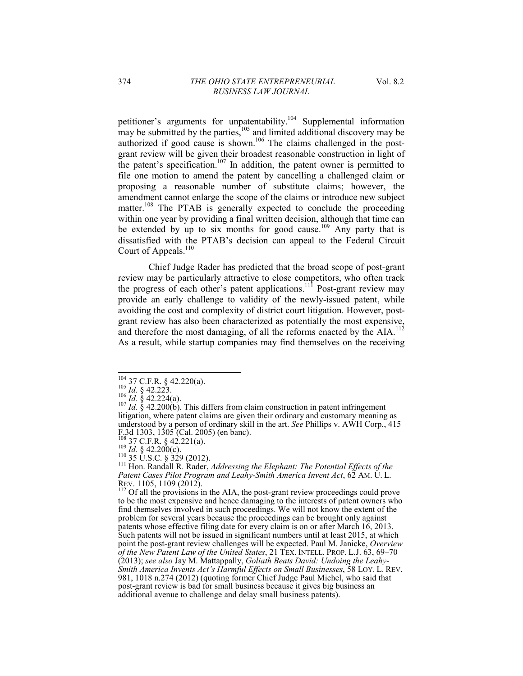petitioner's arguments for unpatentability.<sup>104</sup> Supplemental information may be submitted by the parties,  $105$  and limited additional discovery may be authorized if good cause is shown.<sup>106</sup> The claims challenged in the postgrant review will be given their broadest reasonable construction in light of the patent's specification.<sup>107</sup> In addition, the patent owner is permitted to file one motion to amend the patent by cancelling a challenged claim or proposing a reasonable number of substitute claims; however, the amendment cannot enlarge the scope of the claims or introduce new subject matter.<sup>108</sup> The PTAB is generally expected to conclude the proceeding within one year by providing a final written decision, although that time can be extended by up to six months for good cause.<sup>109</sup> Any party that is dissatisfied with the PTAB's decision can appeal to the Federal Circuit Court of Appeals.<sup>110</sup>

Chief Judge Rader has predicted that the broad scope of post-grant review may be particularly attractive to close competitors, who often track the progress of each other's patent applications.<sup>111</sup> Post-grant review may provide an early challenge to validity of the newly-issued patent, while avoiding the cost and complexity of district court litigation. However, postgrant review has also been characterized as potentially the most expensive, and therefore the most damaging, of all the reforms enacted by the AIA.<sup>112</sup> As a result, while startup companies may find themselves on the receiving

108 37 C.F.R. § 42.221(a).<br><sup>109</sup> *Id.* § 42.200(c).<br><sup>110</sup> 35 U.S.C. § 329 (2012).<br><sup>111</sup> Hon. Randall R. Rader, *Addressing the Elephant: The Potential Effects of the Patent Cases Pilot Program and Leahy-Smith America Invent Act*, 62 AM. U. L. REV. 1105, 1109 (2012).<br>
<sup>112</sup> Of all the provisions in the AIA, the post-grant review proceedings could prove

to be the most expensive and hence damaging to the interests of patent owners who find themselves involved in such proceedings. We will not know the extent of the problem for several years because the proceedings can be brought only against patents whose effective filing date for every claim is on or after March 16, 2013. Such patents will not be issued in significant numbers until at least 2015, at which point the post-grant review challenges will be expected. Paul M. Janicke, *Overview of the New Patent Law of the United States*, 21 TEX. INTELL. PROP. L.J. 63, 69–70 (2013); *see also* Jay M. Mattappally, *Goliath Beats David: Undoing the Leahy-Smith America Invents Act's Harmful Effects on Small Businesses*, 58 LOY. L. REV. 981, 1018 n.274 (2012) (quoting former Chief Judge Paul Michel, who said that post-grant review is bad for small business because it gives big business an additional avenue to challenge and delay small business patents).

<sup>&</sup>lt;sup>104</sup> 37 C.F.R. § 42.220(a).

<sup>&</sup>lt;sup>104</sup> 37 C.F.R. § 42.220(a).<br><sup>105</sup> *Id.* § 42.223.<br><sup>106</sup> *Id.* § 42.224(a).<br><sup>107</sup> *Id.* § 42.200(b). This differs from claim construction in patent infringement litigation, where patent claims are given their ordinary and customary meaning as understood by a person of ordinary skill in the art. *See* Phillips v. AWH Corp*.*, 415 F.3d 1303, 1305 (Cal. 2005) (en banc).<br>  $\frac{108}{108}$  37 C.F.R. § 42.221(a).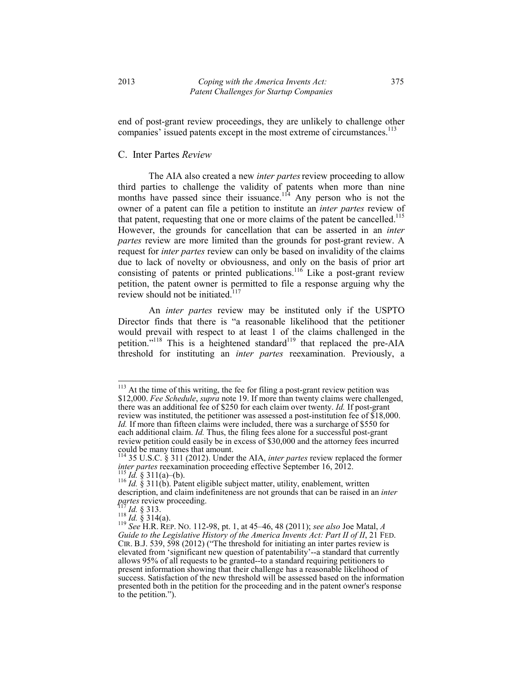end of post-grant review proceedings, they are unlikely to challenge other companies' issued patents except in the most extreme of circumstances.<sup>113</sup>

#### C. Inter Partes *Review*

The AIA also created a new *inter partes*review proceeding to allow third parties to challenge the validity of patents when more than nine months have passed since their issuance.<sup>114</sup> Any person who is not the owner of a patent can file a petition to institute an *inter partes* review of that patent, requesting that one or more claims of the patent be cancelled.<sup>115</sup> However, the grounds for cancellation that can be asserted in an *inter partes* review are more limited than the grounds for post-grant review. A request for *inter partes* review can only be based on invalidity of the claims due to lack of novelty or obviousness, and only on the basis of prior art consisting of patents or printed publications.<sup>116</sup> Like a post-grant review petition, the patent owner is permitted to file a response arguing why the review should not be initiated. $117$ 

An *inter partes* review may be instituted only if the USPTO Director finds that there is "a reasonable likelihood that the petitioner would prevail with respect to at least 1 of the claims challenged in the petition.<sup>"118</sup> This is a heightened standard<sup>119</sup> that replaced the pre-AIA threshold for instituting an *inter partes* reexamination. Previously, a

<sup>&</sup>lt;sup>113</sup> At the time of this writing, the fee for filing a post-grant review petition was \$12,000. *Fee Schedule*, *supra* note 19. If more than twenty claims were challenged, there was an additional fee of \$250 for each claim over twenty. *Id.* If post-grant review was instituted, the petitioner was assessed a post-institution fee of \$18,000. *Id.* If more than fifteen claims were included, there was a surcharge of \$550 for each additional claim. *Id.* Thus, the filing fees alone for a successful post-grant review petition could easily be in excess of \$30,000 and the attorney fees incurred could be many times that amount.

<sup>114 35</sup> U.S.C. § 311 (2012). Under the AIA, *inter partes* review replaced the former *inter partes* reexamination proceeding effective September 16, 2012.<br><sup>115</sup> *Id.* § 311(a)-(b).<br><sup>116</sup> *Id.* § 311(b). Patent eligible subject matter, utility, enablement, written

description, and claim indefiniteness are not grounds that can be raised in an *inter* 

*partes* review proceeding.<br><sup>118</sup> *Id.* § 313.<br><sup>119</sup> *See* H.R. REP. No. 112-98, pt. 1, at 45–46, 48 (2011); *see also* Joe Matal, *A* Guide to the Legislative History of the America Invents Act: Part II of II, 21 FED. CIR. B.J. 539, 598 (2012) ("The threshold for initiating an inter partes review is elevated from 'significant new question of patentability'--a standard that currently allows 95% of all requests to be granted--to a standard requiring petitioners to present information showing that their challenge has a reasonable likelihood of success. Satisfaction of the new threshold will be assessed based on the information presented both in the petition for the proceeding and in the patent owner's response to the petition.").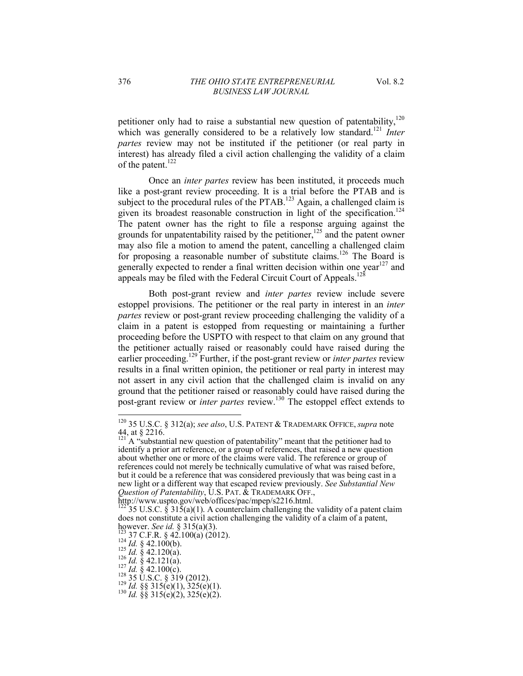petitioner only had to raise a substantial new question of patentability,  $120$ which was generally considered to be a relatively low standard.<sup>121</sup> *Inter partes* review may not be instituted if the petitioner (or real party in interest) has already filed a civil action challenging the validity of a claim of the patent.<sup>122</sup>

Once an *inter partes* review has been instituted, it proceeds much like a post-grant review proceeding. It is a trial before the PTAB and is subject to the procedural rules of the PTAB.<sup>123</sup> Again, a challenged claim is given its broadest reasonable construction in light of the specification.<sup>124</sup> The patent owner has the right to file a response arguing against the grounds for unpatentability raised by the petitioner,<sup>125</sup> and the patent owner may also file a motion to amend the patent, cancelling a challenged claim for proposing a reasonable number of substitute claims.<sup>126</sup> The Board is generally expected to render a final written decision within one year<sup>127</sup> and appeals may be filed with the Federal Circuit Court of Appeals.<sup>12</sup>

Both post-grant review and *inter partes* review include severe estoppel provisions. The petitioner or the real party in interest in an *inter partes* review or post-grant review proceeding challenging the validity of a claim in a patent is estopped from requesting or maintaining a further proceeding before the USPTO with respect to that claim on any ground that the petitioner actually raised or reasonably could have raised during the earlier proceeding.129 Further, if the post-grant review or *inter partes* review results in a final written opinion, the petitioner or real party in interest may not assert in any civil action that the challenged claim is invalid on any ground that the petitioner raised or reasonably could have raised during the post-grant review or *inter partes* review.130 The estoppel effect extends to

<sup>120 35</sup> U.S.C. § 312(a); *see also*, U.S. PATENT & TRADEMARK OFFICE, *supra* note 44, at  $\S$  2216.

 $A$  "substantial new question of patentability" meant that the petitioner had to identify a prior art reference, or a group of references, that raised a new question about whether one or more of the claims were valid. The reference or group of references could not merely be technically cumulative of what was raised before, but it could be a reference that was considered previously that was being cast in a new light or a different way that escaped review previously. *See Substantial New Question of Patentability*, U.S. PAT. & TRADEMARK OFF.,

http://www.uspto.gov/web/offices/pac/mpep/s2216.html.

<sup>35</sup> U.S.C. § 31 $\bar{5}(a)(1)$ . A counterclaim challenging the validity of a patent claim does not constitute a civil action challenging the validity of a claim of a patent, however. See id. § 315(a)(3).

<sup>123 37</sup> C.F.R. § 42.100(a) (2012).<br>
124 *Id.* § 42.100(b).<br>
125 *Id.* § 42.120(a).<br>
126 *Id.* § 42.121(a).<br>
127 *Id.* § 42.100(c).<br>
127 *Id.* § 42.100(c).<br>
128 35 U.S.C. § 319 (2012).<br>
129 *Id.* §§ 315(e)(1), 325(e)(1).<br>
1